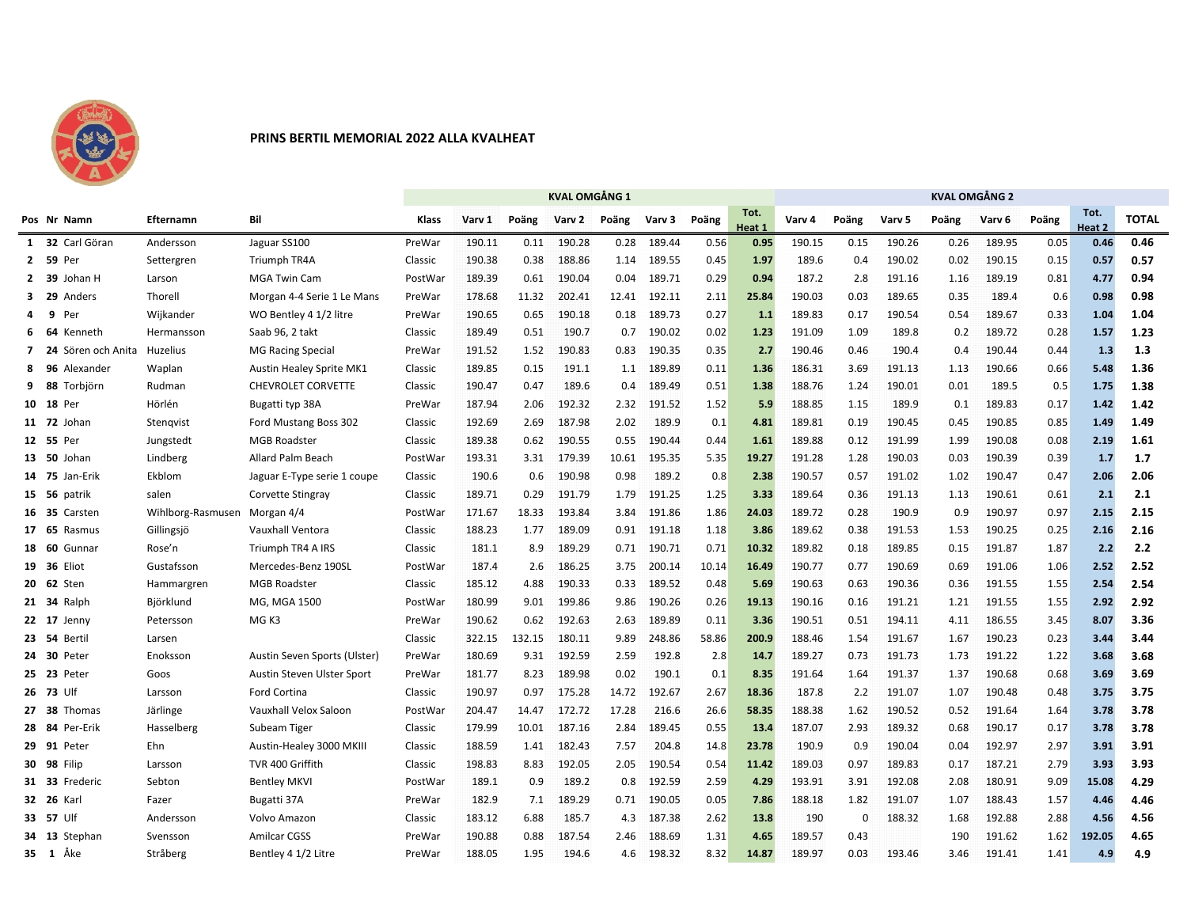

## **PRINS BERTIL MEMORIAL 2022 ALLA KVALHEAT**

|              |       |                    |                   |                                 | <b>KVAL OMGÅNG 1</b> |        |        |        |       |        |       |                |        | <b>KVAL OMGÅNG 2</b> |        |       |        |       |                |              |  |  |  |  |
|--------------|-------|--------------------|-------------------|---------------------------------|----------------------|--------|--------|--------|-------|--------|-------|----------------|--------|----------------------|--------|-------|--------|-------|----------------|--------------|--|--|--|--|
|              |       | Pos Nr Namn        | Efternamn         | Bil                             | Klass                | Varv 1 | Poäng  | Varv 2 | Poäng | Varv 3 | Poäng | Tot.<br>Heat 1 | Varv 4 | Poäng                | Varv 5 | Poäng | Varv 6 | Poäng | Tot.<br>Heat 2 | <b>TOTAL</b> |  |  |  |  |
|              |       | 1 32 Carl Göran    | Andersson         | Jaguar SS100                    | PreWar               | 190.11 | 0.11   | 190.28 | 0.28  | 189.44 | 0.56  | 0.95           | 190.15 | 0.15                 | 190.26 | 0.26  | 189.95 | 0.05  | 0.46           | 0.46         |  |  |  |  |
|              | 2 59  | Per                | Settergren        | Triumph TR4A                    | Classic              | 190.38 | 0.38   | 188.86 | 1.14  | 189.55 | 0.45  | 1.97           | 189.6  | 0.4                  | 190.02 | 0.02  | 190.15 | 0.15  | 0.57           | 0.57         |  |  |  |  |
| $\mathbf{2}$ | - 39  | Johan H            | Larson            | <b>MGA Twin Cam</b>             | PostWar              | 189.39 | 0.61   | 190.04 | 0.04  | 189.71 | 0.29  | 0.94           | 187.2  | 2.8                  | 191.16 | 1.16  | 189.19 | 0.81  | 4.77           | 0.94         |  |  |  |  |
| 3            | - 29  | Anders             | Thorell           | Morgan 4-4 Serie 1 Le Mans      | PreWar               | 178.68 | 11.32  | 202.41 | 12.41 | 192.11 | 2.11  | 25.84          | 190.03 | 0.03                 | 189.65 | 0.35  | 189.4  | 0.6   | 0.98           | 0.98         |  |  |  |  |
| Δ            | 9     | Per                | Wijkander         | WO Bentley 4 1/2 litre          | PreWar               | 190.65 | 0.65   | 190.18 | 0.18  | 189.73 | 0.27  | 1.1            | 189.83 | 0.17                 | 190.54 | 0.54  | 189.67 | 0.33  | 1.04           | 1.04         |  |  |  |  |
| 6            | -64   | Kenneth            | Hermansson        | Saab 96, 2 takt                 | Classic              | 189.49 | 0.51   | 190.7  | 0.7   | 190.02 | 0.02  | 1.23           | 191.09 | 1.09                 | 189.8  | 0.2   | 189.72 | 0.28  | 1.57           | 1.23         |  |  |  |  |
| 7            | - 24  | Sören och Anita    | Huzelius          | <b>MG Racing Special</b>        | PreWar               | 191.52 | 1.52   | 190.83 | 0.83  | 190.35 | 0.35  | 2.7            | 190.46 | 0.46                 | 190.4  | 0.4   | 190.44 | 0.44  | 1.3            | 1.3          |  |  |  |  |
| 8            | -96   | Alexander          | Waplan            | <b>Austin Healey Sprite MK1</b> | Classic              | 189.85 | 0.15   | 191.1  | 1.1   | 189.89 | 0.11  | 1.36           | 186.31 | 3.69                 | 191.13 | 1.13  | 190.66 | 0.66  | 5.48           | 1.36         |  |  |  |  |
| q            | -88   | Torbjörn           | Rudman            | <b>CHEVROLET CORVETTE</b>       | Classic              | 190.47 | 0.47   | 189.6  | 0.4   | 189.49 | 0.51  | 1.38           | 188.76 | 1.24                 | 190.01 | 0.01  | 189.5  | 0.5   | 1.75           | 1.38         |  |  |  |  |
| 10           | - 18  | Per                | Hörlén            | Bugatti typ 38A                 | PreWar               | 187.94 | 2.06   | 192.32 | 2.32  | 191.52 | 1.52  | 5.9            | 188.85 | 1.15                 | 189.9  | 0.1   | 189.83 | 0.17  | 1.42           | 1.42         |  |  |  |  |
|              | 11 72 | Johan              | Stengvist         | Ford Mustang Boss 302           | Classic              | 192.69 | 2.69   | 187.98 | 2.02  | 189.9  | 0.1   | 4.81           | 189.81 | 0.19                 | 190.45 | 0.45  | 190.85 | 0.85  | 1.49           | 1.49         |  |  |  |  |
|              | 12 55 | Per                | Jungstedt         | <b>MGB Roadster</b>             | Classic              | 189.38 | 0.62   | 190.55 | 0.55  | 190.44 | 0.44  | 1.61           | 189.88 | 0.12                 | 191.99 | 1.99  | 190.08 | 0.08  | 2.19           | 1.61         |  |  |  |  |
| 13           | - 50  | Johan              | Lindberg          | Allard Palm Beach               | PostWar              | 193.31 | 3.31   | 179.39 | 10.61 | 195.35 | 5.35  | 19.27          | 191.28 | 1.28                 | 190.03 | 0.03  | 190.39 | 0.39  | 1.7            | 1.7          |  |  |  |  |
| 14           | - 75  | Jan-Erik           | Ekblom            | Jaguar E-Type serie 1 coupe     | Classic              | 190.6  | 0.6    | 190.98 | 0.98  | 189.2  | 0.8   | 2.38           | 190.57 | 0.57                 | 191.02 | 1.02  | 190.47 | 0.47  | 2.06           | 2.06         |  |  |  |  |
| 15           | - 56  | patrik             | salen             | Corvette Stingray               | Classic              | 189.71 | 0.29   | 191.79 | 1.79  | 191.25 | 1.25  | 3.33           | 189.64 | 0.36                 | 191.13 | 1.13  | 190.61 | 0.61  | 2.1            | 2.1          |  |  |  |  |
|              | 16 35 | Carsten            | Wihlborg-Rasmusen | Morgan 4/4                      | PostWar              | 171.67 | 18.33  | 193.84 | 3.84  | 191.86 | 1.86  | 24.03          | 189.72 | 0.28                 | 190.9  | 0.9   | 190.97 | 0.97  | 2.15           | 2.15         |  |  |  |  |
| 17           | - 65  | Rasmus             | Gillingsjö        | Vauxhall Ventora                | Classic              | 188.23 | 1.77   | 189.09 | 0.91  | 191.18 | 1.18  | 3.86           | 189.62 | 0.38                 | 191.53 | 1.53  | 190.25 | 0.25  | 2.16           | 2.16         |  |  |  |  |
| 18           | -60   | Gunnar             | Rose'n            | Triumph TR4 A IRS               | Classic              | 181.1  | 8.9    | 189.29 | 0.71  | 190.71 | 0.71  | 10.32          | 189.82 | 0.18                 | 189.85 | 0.15  | 191.87 | 1.87  | 2.2            | 2.2          |  |  |  |  |
| 19           | - 36  | Eliot              | Gustafsson        | Mercedes-Benz 190SL             | PostWar              | 187.4  | 2.6    | 186.25 | 3.75  | 200.14 | 10.14 | 16.49          | 190.77 | 0.77                 | 190.69 | 0.69  | 191.06 | 1.06  | 2.52           | 2.52         |  |  |  |  |
| 20           | - 62  | Sten               | Hammargren        | <b>MGB Roadster</b>             | Classic              | 185.12 | 4.88   | 190.33 | 0.33  | 189.52 | 0.48  | 5.69           | 190.63 | 0.63                 | 190.36 | 0.36  | 191.55 | 1.55  | 2.54           | 2.54         |  |  |  |  |
|              | 21 34 | Ralph              | Björklund         | MG, MGA 1500                    | PostWar              | 180.99 | 9.01   | 199.86 | 9.86  | 190.26 | 0.26  | 19.13          | 190.16 | 0.16                 | 191.21 | 1.21  | 191.55 | 1.55  | 2.92           | 2.92         |  |  |  |  |
|              | 22 17 | Jenny              | Petersson         | MG K3                           | PreWar               | 190.62 | 0.62   | 192.63 | 2.63  | 189.89 | 0.11  | 3.36           | 190.51 | 0.51                 | 194.11 | 4.11  | 186.55 | 3.45  | 8.07           | 3.36         |  |  |  |  |
|              | 23 54 | Bertil             | Larsen            |                                 | Classic              | 322.15 | 132.15 | 180.11 | 9.89  | 248.86 | 58.86 | 200.9          | 188.46 | 1.54                 | 191.67 | 1.67  | 190.23 | 0.23  | 3.44           | 3.44         |  |  |  |  |
|              | 24 30 | Peter              | Enoksson          | Austin Seven Sports (Ulster)    | PreWar               | 180.69 | 9.31   | 192.59 | 2.59  | 192.8  | 2.8   | 14.7           | 189.27 | 0.73                 | 191.73 | 1.73  | 191.22 | 1.22  | 3.68           | 3.68         |  |  |  |  |
| 25           | - 23  | Peter              | Goos              | Austin Steven Ulster Sport      | PreWar               | 181.77 | 8.23   | 189.98 | 0.02  | 190.1  | 0.1   | 8.35           | 191.64 | 1.64                 | 191.37 | 1.37  | 190.68 | 0.68  | 3.69           | 3.69         |  |  |  |  |
|              | 26 73 | Ulf                | Larsson           | Ford Cortina                    | Classic              | 190.97 | 0.97   | 175.28 | 14.72 | 192.67 | 2.67  | 18.36          | 187.8  | 2.2                  | 191.07 | 1.07  | 190.48 | 0.48  | 3.75           | 3.75         |  |  |  |  |
| 27           | - 38  | Thomas             | Järlinge          | Vauxhall Velox Saloon           | PostWar              | 204.47 | 14.47  | 172.72 | 17.28 | 216.6  | 26.6  | 58.35          | 188.38 | 1.62                 | 190.52 | 0.52  | 191.64 | 1.64  | 3.78           | 3.78         |  |  |  |  |
| 28           | -84   | Per-Erik           | Hasselberg        | Subeam Tiger                    | Classic              | 179.99 | 10.01  | 187.16 | 2.84  | 189.45 | 0.55  | 13.4           | 187.07 | 2.93                 | 189.32 | 0.68  | 190.17 | 0.17  | 3.78           | 3.78         |  |  |  |  |
| 29           | 91    | Peter              | Ehn               | Austin-Healey 3000 MKIII        | Classic              | 188.59 | 1.41   | 182.43 | 7.57  | 204.8  | 14.8  | 23.78          | 190.9  | 0.9                  | 190.04 | 0.04  | 192.97 | 2.97  | 3.91           | 3.91         |  |  |  |  |
|              |       | <b>30 98 Filip</b> | Larsson           | TVR 400 Griffith                | Classic              | 198.83 | 8.83   | 192.05 | 2.05  | 190.54 | 0.54  | 11.42          | 189.03 | 0.97                 | 189.83 | 0.17  | 187.21 | 2.79  | 3.93           | 3.93         |  |  |  |  |
|              | 31 33 | Frederic           | Sebton            | <b>Bentley MKVI</b>             | PostWar              | 189.1  | 0.9    | 189.2  | 0.8   | 192.59 | 2.59  | 4.29           | 193.91 | 3.91                 | 192.08 | 2.08  | 180.91 | 9.09  | 15.08          | 4.29         |  |  |  |  |
|              |       | 32 26 Karl         | Fazer             | Bugatti 37A                     | PreWar               | 182.9  | 7.1    | 189.29 | 0.71  | 190.05 | 0.05  | 7.86           | 188.18 | 1.82                 | 191.07 | 1.07  | 188.43 | 1.57  | 4.46           | 4.46         |  |  |  |  |
|              | 33 57 | Ulf                | Andersson         | Volvo Amazon                    | Classic              | 183.12 | 6.88   | 185.7  | 4.3   | 187.38 | 2.62  | 13.8           | 190    | $\Omega$             | 188.32 | 1.68  | 192.88 | 2.88  | 4.56           | 4.56         |  |  |  |  |
| 34           | - 13  | Stephan            | Svensson          | <b>Amilcar CGSS</b>             | PreWar               | 190.88 | 0.88   | 187.54 | 2.46  | 188.69 | 1.31  | 4.65           | 189.57 | 0.43                 |        | 190   | 191.62 | 1.62  | 192.05         | 4.65         |  |  |  |  |
|              |       | 35 1 Åke           | Stråberg          | Bentley 4 1/2 Litre             | PreWar               | 188.05 | 1.95   | 194.6  | 4.6   | 198.32 | 8.32  | 14.87          | 189.97 | 0.03                 | 193.46 | 3.46  | 191.41 | 1.41  | 4.9            | 4.9          |  |  |  |  |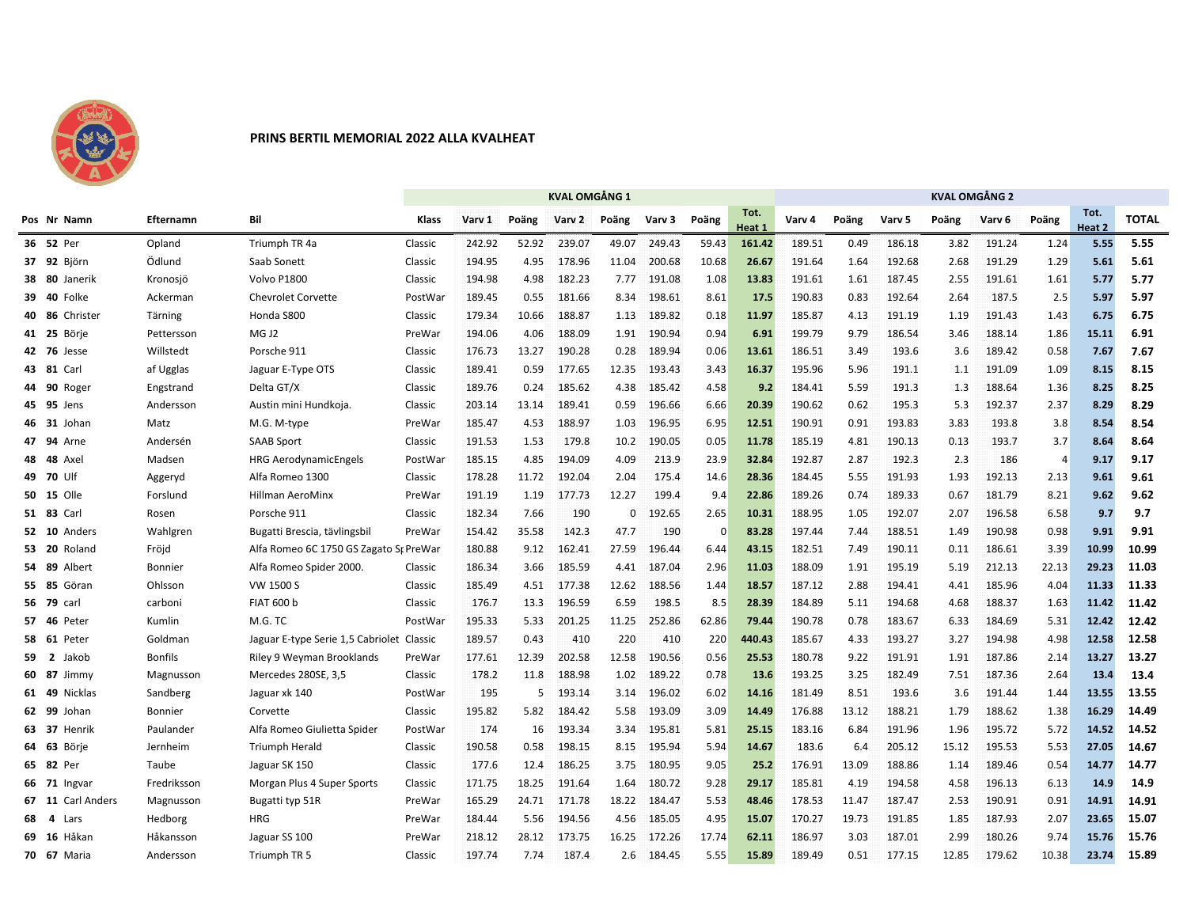

## **PRINS BERTIL MEMORIAL 2022 ALLA KVALHEAT**

|    |           |                    |                |                                           | <b>KVAL OMGÅNG 1</b> |        |       |              |       |        |          |                |        | KVAL OMGÅNG 2 |        |       |        |                |                |              |  |  |  |
|----|-----------|--------------------|----------------|-------------------------------------------|----------------------|--------|-------|--------------|-------|--------|----------|----------------|--------|---------------|--------|-------|--------|----------------|----------------|--------------|--|--|--|
|    |           | Pos Nr Namn        | Efternamn      | Bil                                       | Klass                | Varv 1 | Poäng | Varv 2 Poäng |       | Varv 3 | Poäng    | Tot.<br>Heat 1 | Varv 4 | Poäng         | Varv 5 | Poäng | Varv 6 | Poäng          | Tot.<br>Heat 2 | <b>TOTAL</b> |  |  |  |
|    | 36 52 Per |                    | Opland         | Triumph TR 4a                             | Classic              | 242.92 | 52.92 | 239.07       | 49.07 | 249.43 | 59.43    | 161.42         | 189.51 | 0.49          | 186.18 | 3.82  | 191.24 | 1.24           | 5.55           | 5.55         |  |  |  |
|    |           | 37 92 Björn        | Ödlund         | Saab Sonett                               | Classic              | 194.95 | 4.95  | 178.96       | 11.04 | 200.68 | 10.68    | 26.67          | 191.64 | 1.64          | 192.68 | 2.68  | 191.29 | 1.29           | 5.61           | 5.61         |  |  |  |
|    |           | 38 80 Janerik      | Kronosjö       | Volvo P1800                               | Classic              | 194.98 | 4.98  | 182.23       | 7.77  | 191.08 | 1.08     | 13.83          | 191.61 | 1.61          | 187.45 | 2.55  | 191.61 | 1.61           | 5.77           | 5.77         |  |  |  |
|    | 39 40     | Folke              | Ackerman       | <b>Chevrolet Corvette</b>                 | PostWar              | 189.45 | 0.55  | 181.66       | 8.34  | 198.61 | 8.61     | 17.5           | 190.83 | 0.83          | 192.64 | 2.64  | 187.5  | 2.5            | 5.97           | 5.97         |  |  |  |
| 40 | -86       | Christer           | Tärning        | Honda S800                                | Classic              | 179.34 | 10.66 | 188.87       | 1.13  | 189.82 | 0.18     | 11.97          | 185.87 | 4.13          | 191.19 | 1.19  | 191.43 | 1.43           | 6.75           | 6.75         |  |  |  |
|    | 41 25     | Börje              | Pettersson     | MG J2                                     | PreWar               | 194.06 | 4.06  | 188.09       | 1.91  | 190.94 | 0.94     | 6.91           | 199.79 | 9.79          | 186.54 | 3.46  | 188.14 | 1.86           | 15.11          | 6.91         |  |  |  |
|    |           | <b>42 76 Jesse</b> | Willstedt      | Porsche 911                               | Classic              | 176.73 | 13.27 | 190.28       | 0.28  | 189.94 | 0.06     | 13.61          | 186.51 | 3.49          | 193.6  | 3.6   | 189.42 | 0.58           | 7.67           | 7.67         |  |  |  |
| 43 | - 81      | Carl               | af Ugglas      | Jaguar E-Type OTS                         | Classic              | 189.41 | 0.59  | 177.65       | 12.35 | 193.43 | 3.43     | 16.37          | 195.96 | 5.96          | 191.1  | 1.1   | 191.09 | 1.09           | 8.15           | 8.15         |  |  |  |
| 44 | - 90      | Roger              | Engstrand      | Delta GT/X                                | Classic              | 189.76 | 0.24  | 185.62       | 4.38  | 185.42 | 4.58     | 9.2            | 184.41 | 5.59          | 191.3  | 1.3   | 188.64 | 1.36           | 8.25           | 8.25         |  |  |  |
| 45 | 95        | Jens               | Andersson      | Austin mini Hundkoja.                     | Classic              | 203.14 | 13.14 | 189.41       | 0.59  | 196.66 | 6.66     | 20.39          | 190.62 | 0.62          | 195.3  | 5.3   | 192.37 | 2.37           | 8.29           | 8.29         |  |  |  |
| 46 | - 31      | Johan              | Matz           | M.G. M-type                               | PreWar               | 185.47 | 4.53  | 188.97       | 1.03  | 196.95 | 6.95     | 12.51          | 190.91 | 0.91          | 193.83 | 3.83  | 193.8  | 3.8            | 8.54           | 8.54         |  |  |  |
| 47 | 94        | Arne               | Andersén       | <b>SAAB Sport</b>                         | Classic              | 191.53 | 1.53  | 179.8        | 10.2  | 190.05 | 0.05     | 11.78          | 185.19 | 4.81          | 190.13 | 0.13  | 193.7  | 3.7            | 8.64           | 8.64         |  |  |  |
| 48 | -48       | Axel               | Madsen         | <b>HRG AerodynamicEngels</b>              | PostWar              | 185.15 | 4.85  | 194.09       | 4.09  | 213.9  | 23.9     | 32.84          | 192.87 | 2.87          | 192.3  | 2.3   | 186    | $\overline{4}$ | 9.17           | 9.17         |  |  |  |
|    | 49 70     | Ulf                | Aggeryd        | Alfa Romeo 1300                           | Classic              | 178.28 | 11.72 | 192.04       | 2.04  | 175.4  | 14.6     | 28.36          | 184.45 | 5.55          | 191.93 | 1.93  | 192.13 | 2.13           | 9.61           | 9.61         |  |  |  |
|    | 50 15     | Olle               | Forslund       | Hillman AeroMinx                          | PreWar               | 191.19 | 1.19  | 177.73       | 12.27 | 199.4  | 9.4      | 22.86          | 189.26 | 0.74          | 189.33 | 0.67  | 181.79 | 8.21           | 9.62           | 9.62         |  |  |  |
|    | 51 83     | Carl               | Rosen          | Porsche 911                               | Classic              | 182.34 | 7.66  | 190          | 0     | 192.65 | 2.65     | 10.31          | 188.95 | 1.05          | 192.07 | 2.07  | 196.58 | 6.58           | 9.7            | 9.7          |  |  |  |
|    | 52 10     | Anders             | Wahlgren       | Bugatti Brescia, tävlingsbil              | PreWar               | 154.42 | 35.58 | 142.3        | 47.7  | 190    | $\Omega$ | 83.28          | 197.44 | 7.44          | 188.51 | 1.49  | 190.98 | 0.98           | 9.91           | 9.91         |  |  |  |
|    | 53 20     | Roland             | Fröjd          | Alfa Romeo 6C 1750 GS Zagato St PreWar    |                      | 180.88 | 9.12  | 162.41       | 27.59 | 196.44 | 6.44     | 43.15          | 182.51 | 7.49          | 190.11 | 0.11  | 186.61 | 3.39           | 10.99          | 10.99        |  |  |  |
| 54 | - 89      | Albert             | Bonnier        | Alfa Romeo Spider 2000.                   | Classic              | 186.34 | 3.66  | 185.59       | 4.41  | 187.04 | 2.96     | 11.03          | 188.09 | 1.91          | 195.19 | 5.19  | 212.13 | 22.13          | 29.23          | 11.03        |  |  |  |
|    | 55 85     | Göran              | Ohlsson        | VW 1500 S                                 | Classic              | 185.49 | 4.51  | 177.38       | 12.62 | 188.56 | 1.44     | 18.57          | 187.12 | 2.88          | 194.41 | 4.41  | 185.96 | 4.04           | 11.33          | 11.33        |  |  |  |
|    | 56 79     | carl               | carboni        | <b>FIAT 600 b</b>                         | Classic              | 176.7  | 13.3  | 196.59       | 6.59  | 198.5  | 8.5      | 28.39          | 184.89 | 5.11          | 194.68 | 4.68  | 188.37 | 1.63           | 11.42          | 11.42        |  |  |  |
| 57 | - 46      | Peter              | Kumlin         | M.G. TC                                   | PostWar              | 195.33 | 5.33  | 201.25       | 11.25 | 252.86 | 62.86    | 79.44          | 190.78 | 0.78          | 183.67 | 6.33  | 184.69 | 5.31           | 12.42          | 12.42        |  |  |  |
|    | 58 61     | Peter              | Goldman        | Jaguar E-type Serie 1,5 Cabriolet Classic |                      | 189.57 | 0.43  | 410          | 220   | 410    | 220      | 440.43         | 185.67 | 4.33          | 193.27 | 3.27  | 194.98 | 4.98           | 12.58          | 12.58        |  |  |  |
| 59 | - 2       | Jakob              | <b>Bonfils</b> | Riley 9 Weyman Brooklands                 | PreWar               | 177.61 | 12.39 | 202.58       | 12.58 | 190.56 | 0.56     | 25.53          | 180.78 | 9.22          | 191.91 | 1.91  | 187.86 | 2.14           | 13.27          | 13.27        |  |  |  |
|    | 60 87     | Jimmy              | Magnusson      | Mercedes 280SE, 3,5                       | Classic              | 178.2  | 11.8  | 188.98       | 1.02  | 189.22 | 0.78     | 13.6           | 193.25 | 3.25          | 182.49 | 7.51  | 187.36 | 2.64           | 13.4           | 13.4         |  |  |  |
|    | 61 49     | Nicklas            | Sandberg       | Jaguar xk 140                             | PostWar              | 195    | 5     | 193.14       | 3.14  | 196.02 | 6.02     | 14.16          | 181.49 | 8.51          | 193.6  | 3.6   | 191.44 | 1.44           | 13.55          | 13.55        |  |  |  |
| 62 | - 99      | Johan              | Bonnier        | Corvette                                  | Classic              | 195.82 | 5.82  | 184.42       | 5.58  | 193.09 | 3.09     | 14.49          | 176.88 | 13.12         | 188.21 | 1.79  | 188.62 | 1.38           | 16.29          | 14.49        |  |  |  |
| 63 | - 37      | Henrik             | Paulander      | Alfa Romeo Giulietta Spider               | PostWar              | 174    | 16    | 193.34       | 3.34  | 195.81 | 5.81     | 25.15          | 183.16 | 6.84          | 191.96 | 1.96  | 195.72 | 5.72           | 14.52          | 14.52        |  |  |  |
| 64 | - 63      | Börje              | Jernheim       | Triumph Herald                            | Classic              | 190.58 | 0.58  | 198.15       | 8.15  | 195.94 | 5.94     | 14.67          | 183.6  | 6.4           | 205.12 | 15.12 | 195.53 | 5.53           | 27.05          | 14.67        |  |  |  |
|    | 65 82     | Per                | Taube          | Jaguar SK 150                             | Classic              | 177.6  | 12.4  | 186.25       | 3.75  | 180.95 | 9.05     | 25.2           | 176.91 | 13.09         | 188.86 | 1.14  | 189.46 | 0.54           | 14.77          | 14.77        |  |  |  |
|    | 66 71     | Ingvar             | Fredriksson    | Morgan Plus 4 Super Sports                | Classic              | 171.75 | 18.25 | 191.64       | 1.64  | 180.72 | 9.28     | 29.17          | 185.81 | 4.19          | 194.58 | 4.58  | 196.13 | 6.13           | 14.9           | 14.9         |  |  |  |
| 67 | - 11      | Carl Anders        | Magnusson      | Bugatti typ 51R                           | PreWar               | 165.29 | 24.71 | 171.78       | 18.22 | 184.47 | 5.53     | 48.46          | 178.53 | 11.47         | 187.47 | 2.53  | 190.91 | 0.91           | 14.91          | 14.91        |  |  |  |
| 68 | -4        | Lars               | Hedborg        | <b>HRG</b>                                | PreWar               | 184.44 | 5.56  | 194.56       | 4.56  | 185.05 | 4.95     | 15.07          | 170.27 | 19.73         | 191.85 | 1.85  | 187.93 | 2.07           | 23.65          | 15.07        |  |  |  |
|    | 69 16     | Håkan              | Håkansson      | Jaguar SS 100                             | PreWar               | 218.12 | 28.12 | 173.75       | 16.25 | 172.26 | 17.74    | 62.11          | 186.97 | 3.03          | 187.01 | 2.99  | 180.26 | 9.74           | 15.76          | 15.76        |  |  |  |
|    |           | <b>70 67 Maria</b> | Andersson      | Triumph TR 5                              | Classic              | 197.74 | 7.74  | 187.4        | 2.6   | 184.45 | 5.55     | 15.89          | 189.49 | 0.51          | 177.15 | 12.85 | 179.62 | 10.38          | 23.74          | 15.89        |  |  |  |